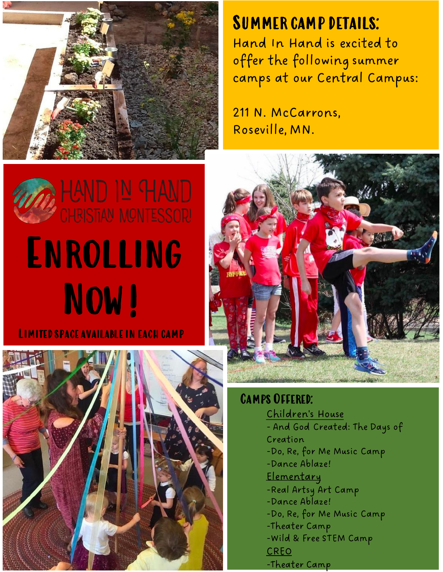

### SUMMER CAMP DETAILS:<br>Hand the Hand is exited to

offer the following summer Hand In Hand is excited to camps at our Central Campus:

211 N. McCarrons, Roseville, MN.







Camps Offered:

Children's House - And God Created: The Days of Creation -Do, Re, for Me Music Camp -Dance Ablaze! Elementary -Real Artsy Art Camp -Dance Ablaze! -Do, Re, for Me Music Camp -Theater Camp -Wild & Free STEM Camp CREO -Theater Camp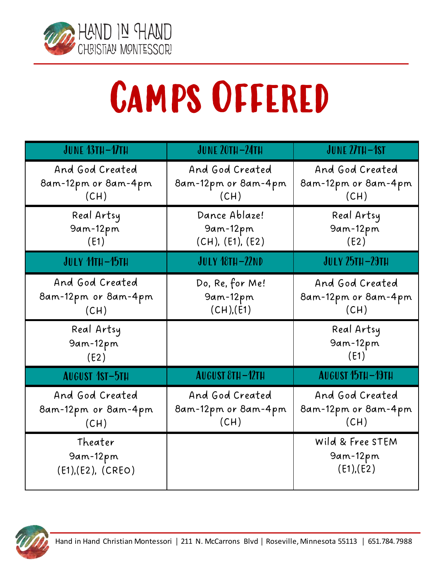

# Camps Offered

| <b>JUNE 13TH-17TH</b>                          | <b>JUNE 20TH-24TH</b>                          | JUNE 27TH-1ST                                  |
|------------------------------------------------|------------------------------------------------|------------------------------------------------|
| And God Created<br>8am-12pm or 8am-4pm<br>(CH) | And God Created<br>8am-12pm or 8am-4pm<br>(CH) | And God Created<br>8am-12pm or 8am-4pm<br>(CH) |
| Real Artsy<br>9am-12pm<br>(E1)                 | Dance Ablaze!<br>9am-12pm<br>(CH), (E1), (E2)  | Real Artsy<br>9am-12pm<br>(E2)                 |
| JULY 11TH-15TH                                 | <b>JULY 18TH-22ND</b>                          | <b>JULY 25TH-29TH</b>                          |
| And God Created<br>8am-12pm or 8am-4pm<br>(CH) | Do, Re, for Me!<br>9am-12pm<br>(CH), (E1)      | And God Created<br>8am-12pm or 8am-4pm<br>(CH) |
| Real Artsy<br>9am-12pm<br>(E2)                 |                                                | Real Artsy<br>9am-12pm<br>(E1)                 |
| <b>AUGUST 1ST-5TH</b>                          | <b>AUGUST 8TH-12TH</b>                         | <b>AUGUST 15TH-19TH</b>                        |
| And God Created<br>8am-12pm or 8am-4pm<br>(CH) | And God Created<br>8am-12pm or 8am-4pm<br>(CH) | And God Created<br>8am-12pm or 8am-4pm<br>(CH) |
| Theater<br>9am-12pm<br>(E1), (E2), (CREO)      |                                                | Wild & Free STEM<br>9am-12pm<br>(E1), (E2)     |

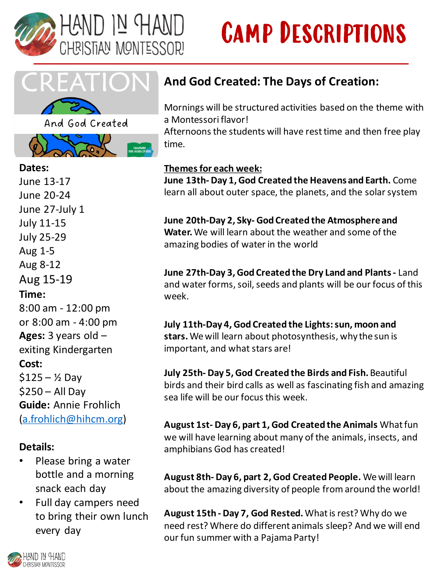

## Camp Descriptions





#### **Dates:**  June 13-17 June 20-24 June 27-July 1 July 11-15 July 25-29 Aug 1-5 Aug 8-12 Aug 15-19 **Time:**

8:00 am - 12:00 pm or 8:00 am - 4:00 pm **Ages:** 3 years old – exiting Kindergarten **Cost:**   $$125 - *Y*<sub>2</sub>$  Dav \$250 – All Day **Guide:** Annie Frohlich [\(a.frohlich@hihcm.org\)](mailto:a.frohlich@hihcm.org)

#### **Details:**

- Please bring a water bottle and a morning snack each day
- Full day campers need to bring their own lunch every day

#### **And God Created: The Days of Creation:**

Mornings will be structured activities based on the theme with a Montessori flavor!

Afternoons the students will have rest time and then free play time.

#### **Themes for each week:**

**June 13th- Day 1, God Created the Heavens and Earth.** Come learn all about outer space, the planets, and the solar system

**June 20th-Day 2, Sky- God Created the Atmosphere and Water.** We will learn about the weather and some of the amazing bodies of water in the world

**June 27th-Day 3, God Created the Dry Land and Plants -** Land and water forms, soil, seeds and plants will be our focus of this week.

**July 11th-Day 4, God Created the Lights: sun, moon and stars.** We will learn about photosynthesis, why the sun is important, and what stars are!

**July 25th- Day 5, God Created the Birds and Fish.**Beautiful birds and their bird calls as well as fascinating fish and amazing sea life will be our focus this week.

**August 1st- Day 6, part 1, God Created the Animals** What fun we will have learning about many of the animals, insects, and amphibians God has created!

**August 8th- Day 6, part 2, God Created People.** We will learn about the amazing diversity of people from around the world!

**August 15th - Day 7, God Rested.**What is rest? Why do we need rest? Where do different animals sleep? And we will end our fun summer with a Pajama Party!

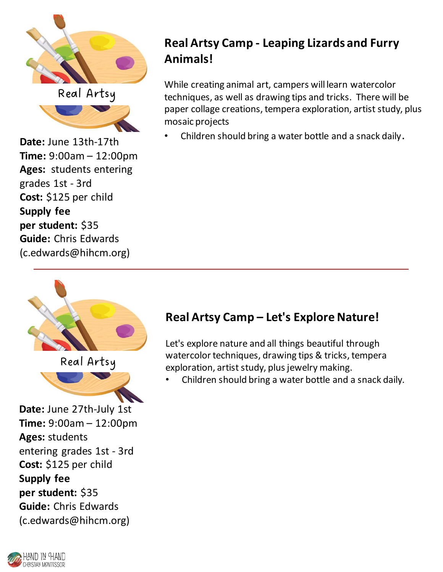

Real Artsy



**Time:** 9:00am – 12:00pm **Ages:** students entering grades 1st - 3rd **Cost:** \$125 per child **Supply fee per student:** \$35 **Guide:** Chris Edwards (c.edwards@hihcm.org)

#### **Real Artsy Camp - Leaping Lizards and Furry Animals!**

While creating animal art, campers will learn watercolor techniques, as well as drawing tips and tricks. There will be paper collage creations, tempera exploration, artist study, plus mosaic projects

• Children should bring a water bottle and a snack daily.







**Date:** June 27th-July 1st **Time:** 9:00am – 12:00pm **Ages:** students entering grades 1st - 3rd **Cost:** \$125 per child **Supply fee per student:** \$35 **Guide:** Chris Edwards (c.edwards@hihcm.org)

#### **Real Artsy Camp – Let's Explore Nature!**

Let's explore nature and all things beautiful through watercolor techniques, drawing tips & tricks, tempera exploration, artist study, plus jewelry making.

• Children should bring a water bottle and a snack daily.

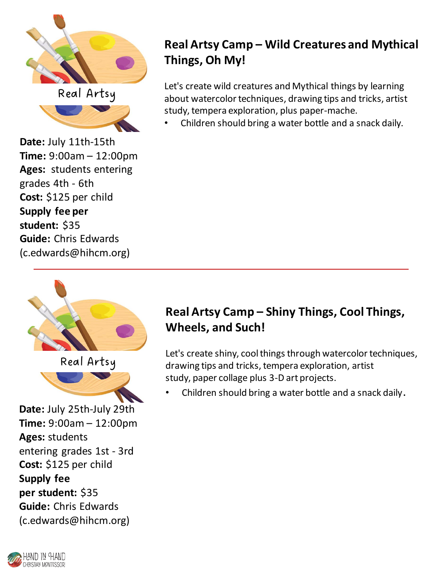

Real Artsy



**Time:** 9:00am – 12:00pm **Ages:** students entering grades 4th - 6th **Cost:** \$125 per child **Supply fee per student:** \$35 **Guide:** Chris Edwards (c.edwards@hihcm.org)

#### **Real Artsy Camp – Wild Creatures and Mythical Things, Oh My!**

Let's create wild creatures and Mythical things by learning about watercolor techniques, drawing tips and tricks, artist study, tempera exploration, plus paper-mache.

• Children should bring a water bottle and a snack daily.



Real Artsy



**Date:** July 25th-July 29th **Time:** 9:00am – 12:00pm **Ages:** students entering grades 1st - 3rd **Cost:** \$125 per child **Supply fee per student:** \$35 **Guide:** Chris Edwards (c.edwards@hihcm.org)

#### **Real Artsy Camp – Shiny Things, Cool Things, Wheels, and Such!**

Let's create shiny, cool things through watercolor techniques, drawing tips and tricks, tempera exploration, artist study, paper collage plus 3-D art projects.

• Children should bring a water bottle and a snack daily.

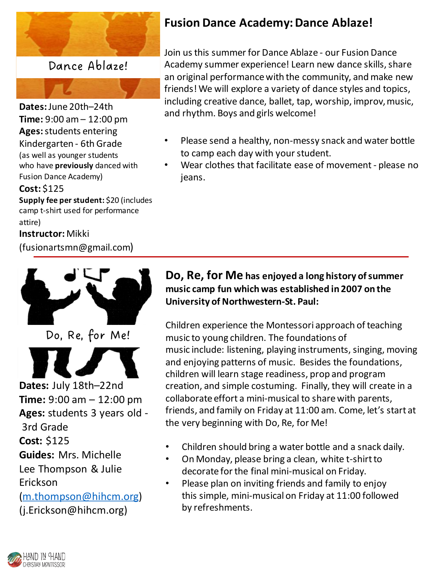

Dance Ablaze!

**Dates:** June 20th–24th **Time:** 9:00 am – 12:00 pm **Ages:**students entering Kindergarten - 6th Grade (as well as younger students who have **previously** danced with Fusion Dance Academy)

#### **Cost:** \$125

**Supply fee per student:** \$20 (includes camp t-shirt used for performance attire)

#### **Instructor:** Mikki

(fusionartsmn@gmail.com)



Do, Re, for Me!

**Dates:** July 18th–22nd

**Time:** 9:00 am – 12:00 pm **Ages:** students 3 years old - 3rd Grade

**Cost:** \$125

**Guides:** Mrs. Michelle

Lee Thompson & Julie Erickson

[\(m.thompson@hihcm.org\)](mailto:m.thompson@hihcm.org) (j.Erickson@hihcm.org)

#### **Fusion Dance Academy: Dance Ablaze!**

Join us this summer for Dance Ablaze - our Fusion Dance Academy summer experience! Learn new dance skills, share an original performance with the community, and make new friends! We will explore a variety of dance styles and topics, including creative dance, ballet, tap, worship, improv, music, and rhythm. Boys and girls welcome!

- Please send a healthy, non-messy snack and water bottle to camp each day with your student.
- Wear clothes that facilitate ease of movement please no jeans.

#### **Do, Re, for Me has enjoyed a long history of summer music camp fun which was established in 2007 on the University of Northwestern-St. Paul:**

Children experience the Montessori approach of teaching music to young children. The foundations of music include: listening, playing instruments, singing, moving and enjoying patterns of music. Besides the foundations, children will learn stage readiness, prop and program creation, and simple costuming. Finally, they will create in a collaborate effort a mini-musical to share with parents, friends, and family on Friday at 11:00 am. Come, let's start at the very beginning with Do, Re, for Me!

- Children should bring a water bottle and a snack daily.
- On Monday, please bring a clean, white t-shirt to decorate for the final mini-musical on Friday.
- Please plan on inviting friends and family to enjoy this simple, mini-musical on Friday at 11:00 followed by refreshments.

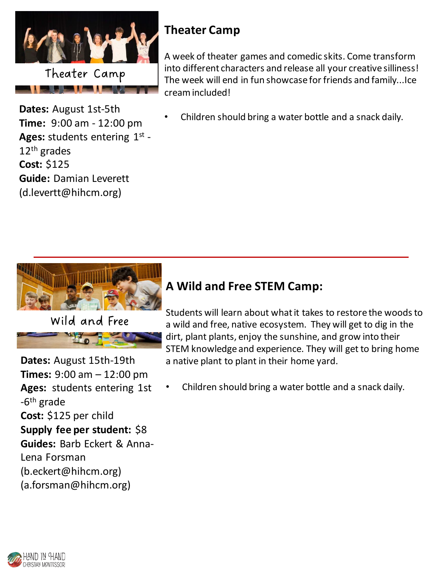

<u> Albert III.a eta Erresta izan zen.</u>

#### **Theater Camp**

A week of theater games and comedic skits. Come transform into different characters and release all your creative silliness! The week will end in fun showcase for friends and family...Ice cream included!

**Dates:** August 1st-5th **Time:** 9:00 am - 12:00 pm Ages: students entering 1st -12th grades **Cost:** \$125 **Guide:** Damian Leverett (d.levertt@hihcm.org)

• Children should bring a water bottle and a snack daily.



Wild and Free

**Dates:** August 15th-19th **Times:** 9:00 am – 12:00 pm **Ages:** students entering 1st -6<sup>th</sup> grade **Cost:** \$125 per child **Supply fee per student:** \$8 **Guides:** Barb Eckert & Anna-Lena Forsman (b.eckert@hihcm.org) (a.forsman@hihcm.org)

#### **A Wild and Free STEM Camp:**

Students will learn about what it takes to restore the woods to a wild and free, native ecosystem. They will get to dig in the dirt, plant plants, enjoy the sunshine, and grow into their STEM knowledge and experience. They will get to bring home a native plant to plant in their home yard.

• Children should bring a water bottle and a snack daily.